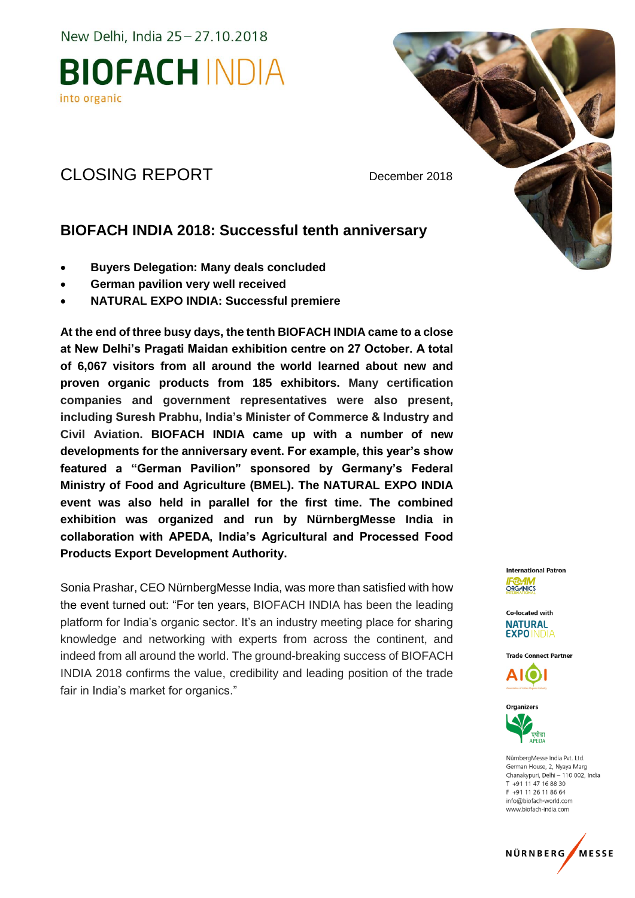New Delhi, India 25-27.10.2018

### **BIOFACH INDIA** into organic

### CLOSING REPORT December 2018

### **BIOFACH INDIA 2018: Successful tenth anniversary**

- **Buyers Delegation: Many deals concluded**
- **German pavilion very well received**
- **NATURAL EXPO INDIA: Successful premiere**

**At the end of three busy days, the tenth BIOFACH INDIA came to a close at New Delhi's Pragati Maidan exhibition centre on 27 October. A total of 6,067 visitors from all around the world learned about new and proven organic products from 185 exhibitors. Many certification companies and government representatives were also present, including Suresh Prabhu, India's Minister of Commerce & Industry and Civil Aviation. BIOFACH INDIA came up with a number of new developments for the anniversary event. For example, this year's show featured a "German Pavilion" sponsored by Germany's Federal Ministry of Food and Agriculture (BMEL). The NATURAL EXPO INDIA event was also held in parallel for the first time. The combined exhibition was organized and run by NürnbergMesse India in collaboration with APEDA, India's Agricultural and Processed Food Products Export Development Authority.**

Sonia Prashar, CEO NürnbergMesse India, was more than satisfied with how the event turned out: "For ten years, BIOFACH INDIA has been the leading platform for India's organic sector. It's an industry meeting place for sharing knowledge and networking with experts from across the continent, and indeed from all around the world. The ground-breaking success of BIOFACH INDIA 2018 confirms the value, credibility and leading position of the trade fair in India's market for organics."

International Patron **ORGANICS** 

Co-located with **NATURAL EXPOINDIA** 

**Trade Connect Partner** 





NürnbergMesse India Pvt. Ltd. German House, 2, Nyaya Marg Chanakypuri, Delhi - 110 002, India  $T + 911147168830$ F +91 11 26 11 86 64 info@biofach-world.com www.biofach-india.com

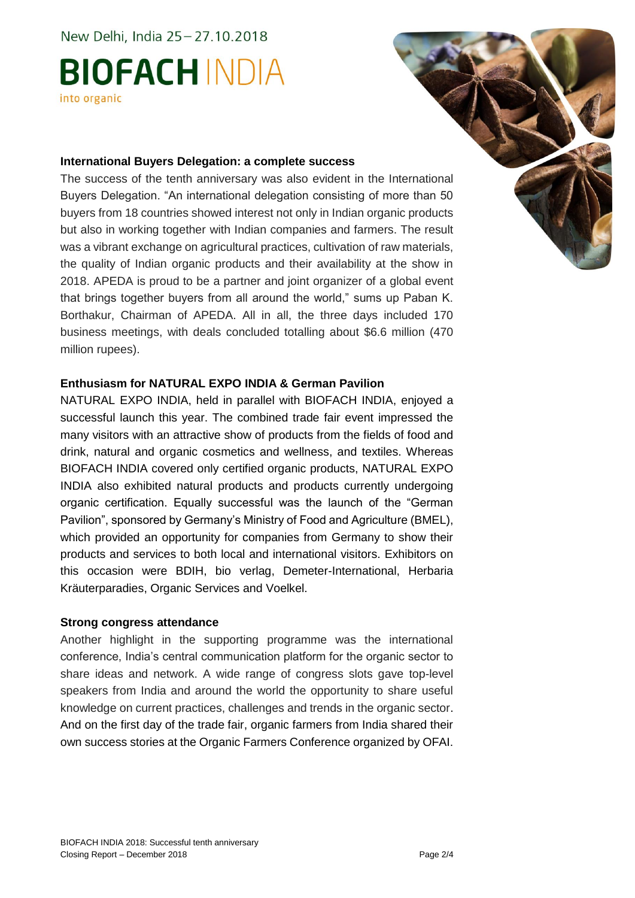New Delhi, India 25-27.10.2018

# **BIOFACH INDIA** into organic

#### **International Buyers Delegation: a complete success**

The success of the tenth anniversary was also evident in the International Buyers Delegation. "An international delegation consisting of more than 50 buyers from 18 countries showed interest not only in Indian organic products but also in working together with Indian companies and farmers. The result was a vibrant exchange on agricultural practices, cultivation of raw materials, the quality of Indian organic products and their availability at the show in 2018. APEDA is proud to be a partner and joint organizer of a global event that brings together buyers from all around the world," sums up Paban K. Borthakur, Chairman of APEDA. All in all, the three days included 170 business meetings, with deals concluded totalling about \$6.6 million (470 million rupees).

#### **Enthusiasm for NATURAL EXPO INDIA & German Pavilion**

NATURAL EXPO INDIA, held in parallel with BIOFACH INDIA, enjoyed a successful launch this year. The combined trade fair event impressed the many visitors with an attractive show of products from the fields of food and drink, natural and organic cosmetics and wellness, and textiles. Whereas BIOFACH INDIA covered only certified organic products, NATURAL EXPO INDIA also exhibited natural products and products currently undergoing organic certification. Equally successful was the launch of the "German Pavilion", sponsored by Germany's Ministry of Food and Agriculture (BMEL), which provided an opportunity for companies from Germany to show their products and services to both local and international visitors. Exhibitors on this occasion were BDIH, bio verlag, Demeter-International, Herbaria Kräuterparadies, Organic Services and Voelkel.

#### **Strong congress attendance**

Another highlight in the supporting programme was the international conference, India's central communication platform for the organic sector to share ideas and network. A wide range of congress slots gave top-level speakers from India and around the world the opportunity to share useful knowledge on current practices, challenges and trends in the organic sector. And on the first day of the trade fair, organic farmers from India shared their own success stories at the Organic Farmers Conference organized by OFAI.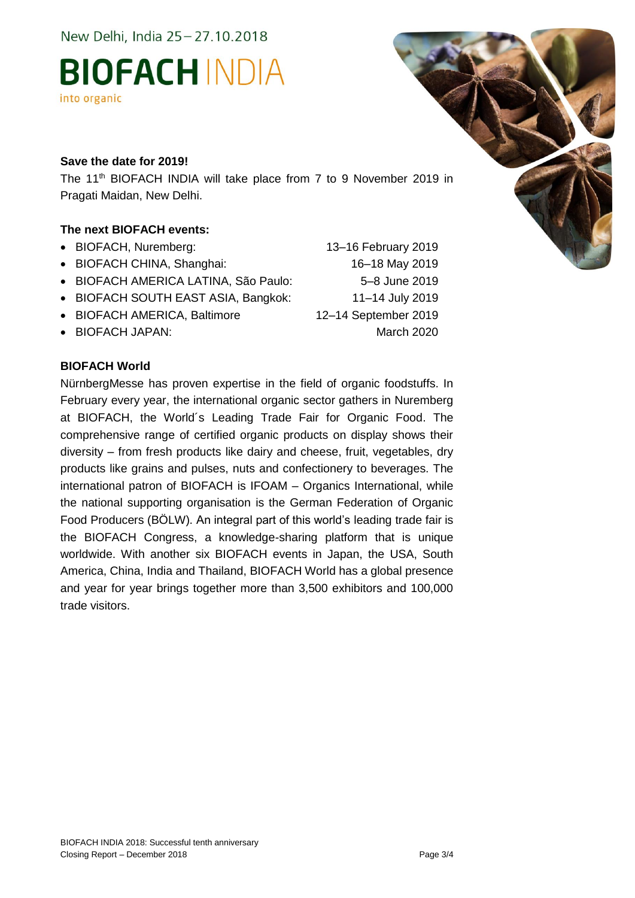New Delhi, India 25 - 27.10.2018

### **BIOFACH INDIA** into organic

#### **Save the date for 2019!**

The 11<sup>th</sup> BIOFACH INDIA will take place from 7 to 9 November 2019 in Pragati Maidan, New Delhi.

### **The next BIOFACH events:**

- BIOFACH, Nuremberg: 13–16 February 2019
- BIOFACH CHINA, Shanghai: 16–18 May 2019
- BIOFACH AMERICA LATINA, São Paulo: 5–8 June 2019
- BIOFACH SOUTH EAST ASIA, Bangkok: 11–14 July 2019
- BIOFACH AMERICA, Baltimore 12–14 September 2019
- BIOFACH JAPAN: March 2020

### **BIOFACH World**

NürnbergMesse has proven expertise in the field of organic foodstuffs. In February every year, the international organic sector gathers in Nuremberg at BIOFACH, the World´s Leading Trade Fair for Organic Food. The comprehensive range of certified organic products on display shows their diversity – from fresh products like dairy and cheese, fruit, vegetables, dry products like grains and pulses, nuts and confectionery to beverages. The international patron of BIOFACH is IFOAM – Organics International, while the national supporting organisation is the German Federation of Organic Food Producers (BÖLW). An integral part of this world's leading trade fair is the BIOFACH Congress, a knowledge-sharing platform that is unique worldwide. With another six BIOFACH events in Japan, the USA, South America, China, India and Thailand, BIOFACH World has a global presence and year for year brings together more than 3,500 exhibitors and 100,000 trade visitors.